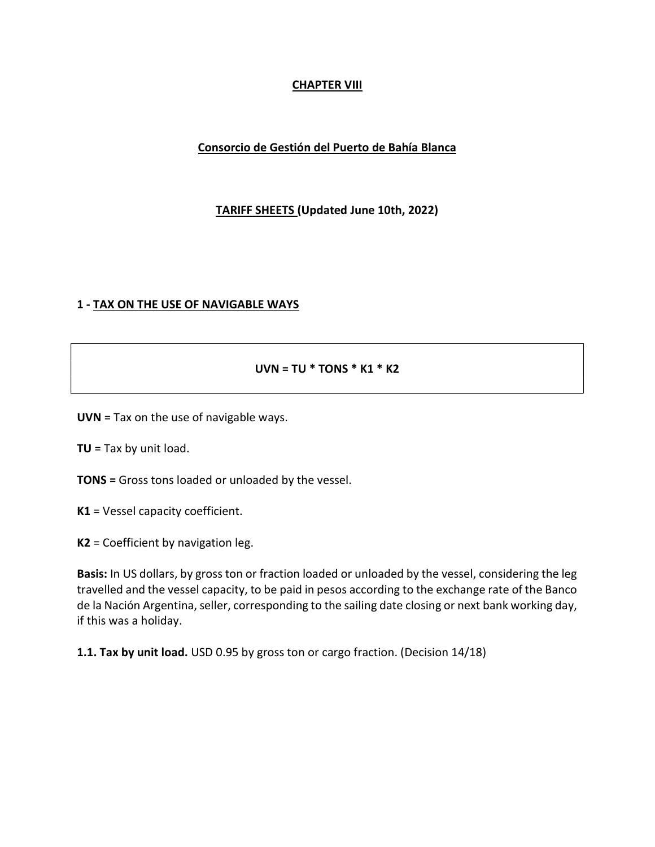## CHAPTER VIII

### Consorcio de Gestión del Puerto de Bahía Blanca

### TARIFF SHEETS (Updated June 10th, 2022)

### 1 - TAX ON THE USE OF NAVIGABLE WAYS

#### UVN = TU  $*$  TONS  $*$  K1  $*$  K2

UVN = Tax on the use of navigable ways.

 $TU = Tax$  by unit load.

TONS = Gross tons loaded or unloaded by the vessel.

K1 = Vessel capacity coefficient.

K2 = Coefficient by navigation leg.

Basis: In US dollars, by gross ton or fraction loaded or unloaded by the vessel, considering the leg travelled and the vessel capacity, to be paid in pesos according to the exchange rate of the Banco de la Nación Argentina, seller, corresponding to the sailing date closing or next bank working day, if this was a holiday.

1.1. Tax by unit load. USD 0.95 by gross ton or cargo fraction. (Decision 14/18)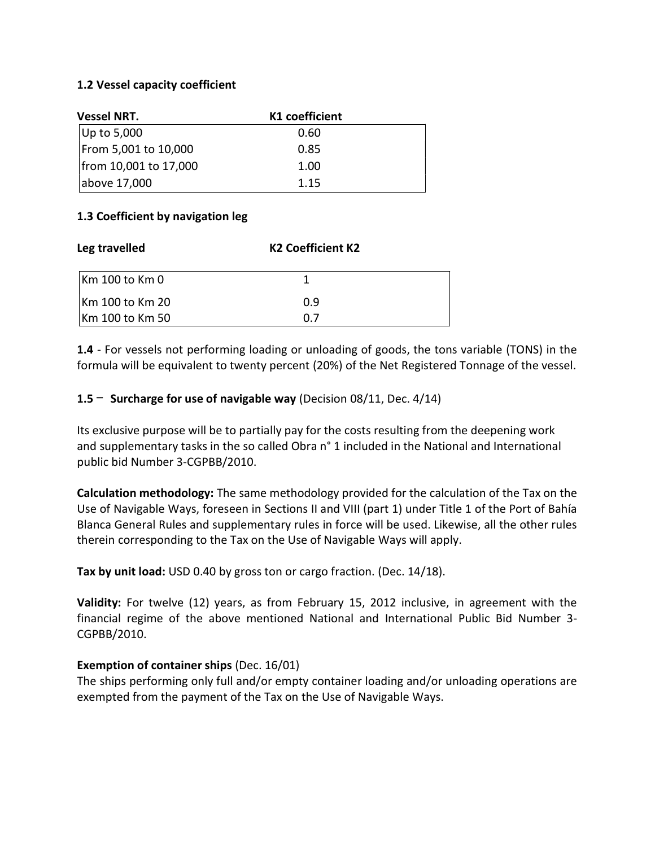### 1.2 Vessel capacity coefficient

| <b>Vessel NRT.</b>    | K1 coefficient |  |
|-----------------------|----------------|--|
| Up to 5,000           | 0.60           |  |
| From 5,001 to 10,000  | 0.85           |  |
| from 10,001 to 17,000 | 1.00           |  |
| above 17,000          | 1.15           |  |

### 1.3 Coefficient by navigation leg

| Leg travelled   | <b>K2 Coefficient K2</b> |  |
|-----------------|--------------------------|--|
| Km 100 to Km 0  |                          |  |
| Km 100 to Km 20 | 0.9                      |  |
| Km 100 to Km 50 | በ 7                      |  |

1.4 - For vessels not performing loading or unloading of goods, the tons variable (TONS) in the formula will be equivalent to twenty percent (20%) of the Net Registered Tonnage of the vessel.

1.5  $-$  Surcharge for use of navigable way (Decision 08/11, Dec. 4/14)

Its exclusive purpose will be to partially pay for the costs resulting from the deepening work and supplementary tasks in the so called Obra n° 1 included in the National and International public bid Number 3-CGPBB/2010.

Calculation methodology: The same methodology provided for the calculation of the Tax on the Use of Navigable Ways, foreseen in Sections II and VIII (part 1) under Title 1 of the Port of Bahía Blanca General Rules and supplementary rules in force will be used. Likewise, all the other rules therein corresponding to the Tax on the Use of Navigable Ways will apply.

Tax by unit load: USD 0.40 by gross ton or cargo fraction. (Dec. 14/18).

Validity: For twelve (12) years, as from February 15, 2012 inclusive, in agreement with the financial regime of the above mentioned National and International Public Bid Number 3- CGPBB/2010.

### Exemption of container ships (Dec. 16/01)

The ships performing only full and/or empty container loading and/or unloading operations are exempted from the payment of the Tax on the Use of Navigable Ways.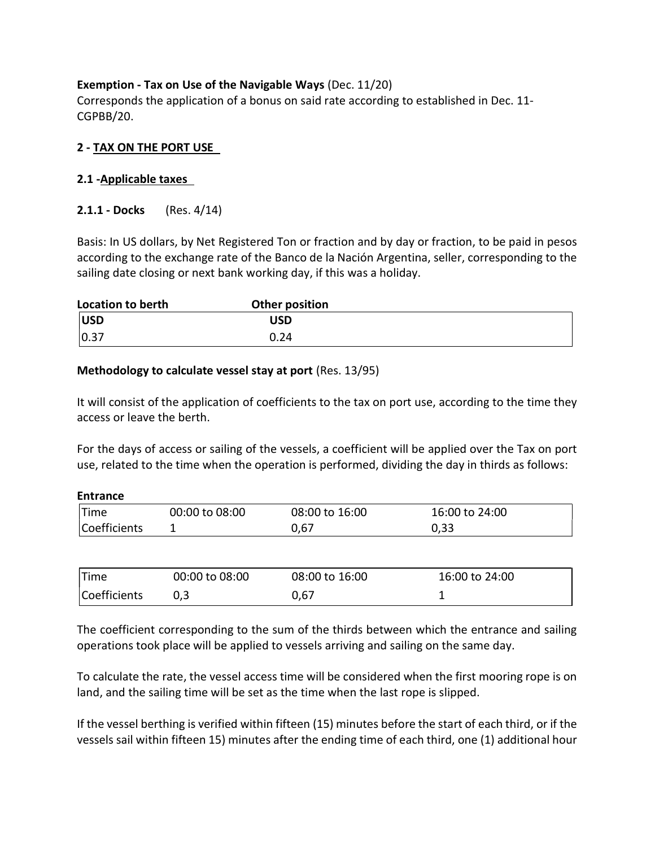## Exemption - Tax on Use of the Navigable Ways (Dec. 11/20)

Corresponds the application of a bonus on said rate according to established in Dec. 11- CGPBB/20.

### 2 - TAX ON THE PORT USE

### 2.1 -Applicable taxes

### **2.1.1 - Docks** (Res. 4/14)

Basis: In US dollars, by Net Registered Ton or fraction and by day or fraction, to be paid in pesos according to the exchange rate of the Banco de la Nación Argentina, seller, corresponding to the sailing date closing or next bank working day, if this was a holiday.

| <b>Location to berth</b> | Other position |  |
|--------------------------|----------------|--|
| <b>USD</b>               | USD            |  |
| 0.37                     | 0.24           |  |

### Methodology to calculate vessel stay at port (Res. 13/95)

It will consist of the application of coefficients to the tax on port use, according to the time they access or leave the berth.

For the days of access or sailing of the vessels, a coefficient will be applied over the Tax on port use, related to the time when the operation is performed, dividing the day in thirds as follows:

| Entrance     |                |                |                |  |
|--------------|----------------|----------------|----------------|--|
| Time         | 00:00 to 08:00 | 08:00 to 16:00 | 16:00 to 24:00 |  |
| Coefficients |                | 0.67           | 0,33           |  |

| <b>Time</b>  | 00:00 to 08:00 | 08:00 to 16:00 | 16:00 to 24:00 |
|--------------|----------------|----------------|----------------|
| Coefficients |                | 0,67           |                |

The coefficient corresponding to the sum of the thirds between which the entrance and sailing operations took place will be applied to vessels arriving and sailing on the same day.

To calculate the rate, the vessel access time will be considered when the first mooring rope is on land, and the sailing time will be set as the time when the last rope is slipped.

If the vessel berthing is verified within fifteen (15) minutes before the start of each third, or if the vessels sail within fifteen 15) minutes after the ending time of each third, one (1) additional hour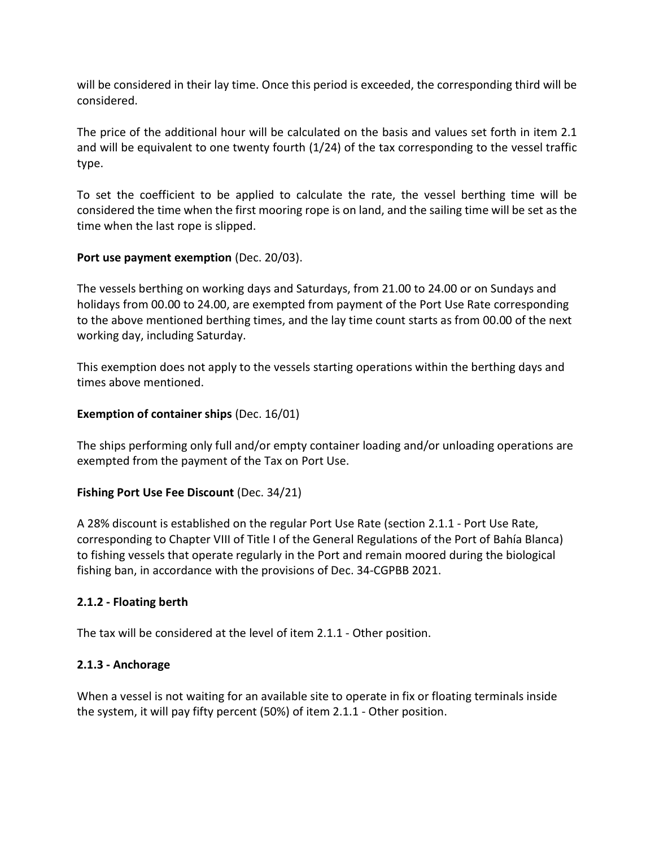will be considered in their lay time. Once this period is exceeded, the corresponding third will be considered.

The price of the additional hour will be calculated on the basis and values set forth in item 2.1 and will be equivalent to one twenty fourth (1/24) of the tax corresponding to the vessel traffic type.

To set the coefficient to be applied to calculate the rate, the vessel berthing time will be considered the time when the first mooring rope is on land, and the sailing time will be set as the time when the last rope is slipped.

## Port use payment exemption (Dec. 20/03).

The vessels berthing on working days and Saturdays, from 21.00 to 24.00 or on Sundays and holidays from 00.00 to 24.00, are exempted from payment of the Port Use Rate corresponding to the above mentioned berthing times, and the lay time count starts as from 00.00 of the next working day, including Saturday.

This exemption does not apply to the vessels starting operations within the berthing days and times above mentioned.

### Exemption of container ships (Dec. 16/01)

The ships performing only full and/or empty container loading and/or unloading operations are exempted from the payment of the Tax on Port Use.

### Fishing Port Use Fee Discount (Dec. 34/21)

A 28% discount is established on the regular Port Use Rate (section 2.1.1 - Port Use Rate, corresponding to Chapter VIII of Title I of the General Regulations of the Port of Bahía Blanca) to fishing vessels that operate regularly in the Port and remain moored during the biological fishing ban, in accordance with the provisions of Dec. 34-CGPBB 2021.

## 2.1.2 - Floating berth

The tax will be considered at the level of item 2.1.1 - Other position.

## 2.1.3 - Anchorage

When a vessel is not waiting for an available site to operate in fix or floating terminals inside the system, it will pay fifty percent (50%) of item 2.1.1 - Other position.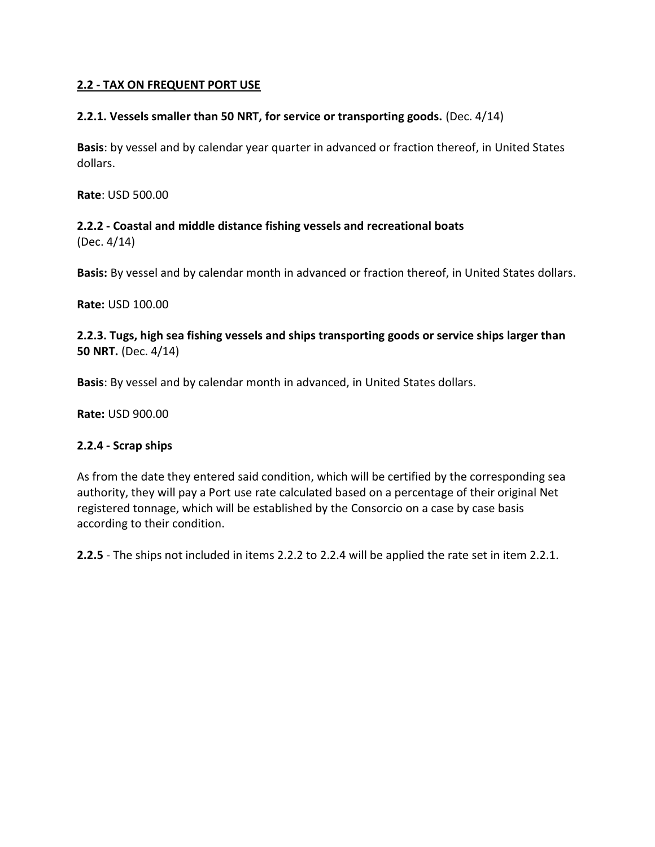### 2.2 - TAX ON FREQUENT PORT USE

### 2.2.1. Vessels smaller than 50 NRT, for service or transporting goods. (Dec. 4/14)

Basis: by vessel and by calendar year quarter in advanced or fraction thereof, in United States dollars.

Rate: USD 500.00

2.2.2 - Coastal and middle distance fishing vessels and recreational boats (Dec. 4/14)

Basis: By vessel and by calendar month in advanced or fraction thereof, in United States dollars.

Rate: USD 100.00

2.2.3. Tugs, high sea fishing vessels and ships transporting goods or service ships larger than 50 NRT. (Dec. 4/14)

Basis: By vessel and by calendar month in advanced, in United States dollars.

Rate: USD 900.00

### 2.2.4 - Scrap ships

As from the date they entered said condition, which will be certified by the corresponding sea authority, they will pay a Port use rate calculated based on a percentage of their original Net registered tonnage, which will be established by the Consorcio on a case by case basis according to their condition.

2.2.5 - The ships not included in items 2.2.2 to 2.2.4 will be applied the rate set in item 2.2.1.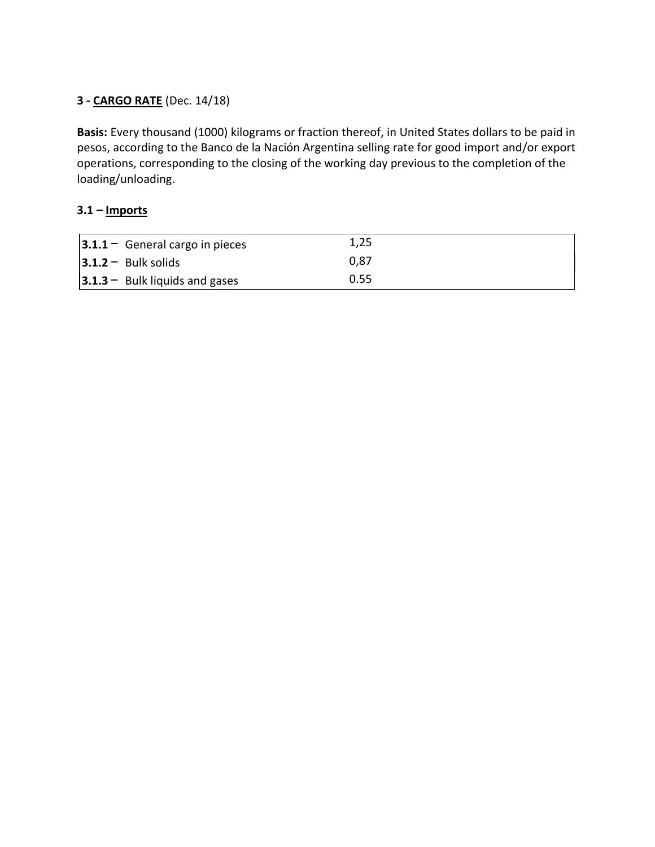## 3 - CARGO RATE (Dec. 14/18)

Basis: Every thousand (1000) kilograms or fraction thereof, in United States dollars to be paid in pesos, according to the Banco de la Nación Argentina selling rate for good import and/or export operations, corresponding to the closing of the working day previous to the completion of the loading/unloading.

## $3.1 -$  Imports

| $ 3.1.1 -$ General cargo in pieces | 1,25 |
|------------------------------------|------|
| $ 3.1.2 -$ Bulk solids             | 0.87 |
| $ 3.1.3 -$ Bulk liquids and gases  | 0.55 |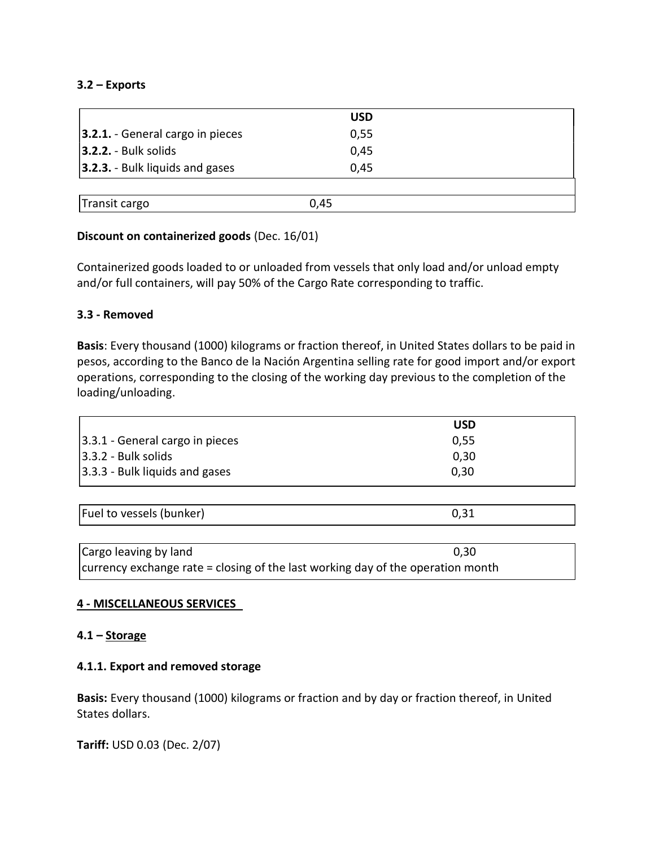### 3.2 – Exports

|                                     |      | <b>USD</b> |  |
|-------------------------------------|------|------------|--|
| $ 3.2.1. -$ General cargo in pieces |      | 0,55       |  |
| $3.2.2. - Bulk solids$              |      | 0,45       |  |
| 3.2.3. - Bulk liquids and gases     |      | 0,45       |  |
|                                     |      |            |  |
| Transit cargo                       | 0,45 |            |  |

### Discount on containerized goods (Dec. 16/01)

Containerized goods loaded to or unloaded from vessels that only load and/or unload empty and/or full containers, will pay 50% of the Cargo Rate corresponding to traffic.

### 3.3 - Removed

Basis: Every thousand (1000) kilograms or fraction thereof, in United States dollars to be paid in pesos, according to the Banco de la Nación Argentina selling rate for good import and/or export operations, corresponding to the closing of the working day previous to the completion of the loading/unloading.

|                                    | USD  |
|------------------------------------|------|
| $ 3.3.1$ - General cargo in pieces | 0.55 |
| $ 3.3.2 - Bulk solids$             | 0.30 |
| $ 3.3.3 -$ Bulk liquids and gases  | 0,30 |

| Fuel to vessels (bunker) |  |
|--------------------------|--|
|                          |  |

| Cargo leaving by land                                                             | 0,30 |
|-----------------------------------------------------------------------------------|------|
| currency exchange rate $=$ closing of the last working day of the operation month |      |

### 4 - MISCELLANEOUS SERVICES

### 4.1 – Storage

### 4.1.1. Export and removed storage

Basis: Every thousand (1000) kilograms or fraction and by day or fraction thereof, in United States dollars.

Tariff: USD 0.03 (Dec. 2/07)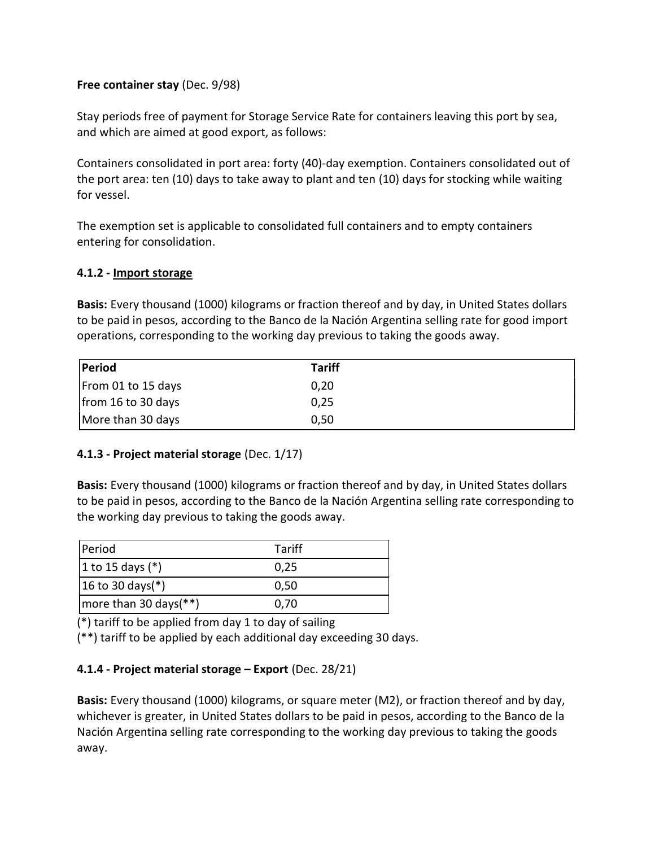### Free container stay (Dec. 9/98)

Stay periods free of payment for Storage Service Rate for containers leaving this port by sea, and which are aimed at good export, as follows:

Containers consolidated in port area: forty (40)-day exemption. Containers consolidated out of the port area: ten (10) days to take away to plant and ten (10) days for stocking while waiting for vessel.

The exemption set is applicable to consolidated full containers and to empty containers entering for consolidation.

### 4.1.2 - Import storage

Basis: Every thousand (1000) kilograms or fraction thereof and by day, in United States dollars to be paid in pesos, according to the Banco de la Nación Argentina selling rate for good import operations, corresponding to the working day previous to taking the goods away.

| Period             | <b>Tariff</b> |
|--------------------|---------------|
| From 01 to 15 days | 0,20          |
| from 16 to 30 days | 0,25          |
| More than 30 days  | 0,50          |

## 4.1.3 - Project material storage (Dec. 1/17)

Basis: Every thousand (1000) kilograms or fraction thereof and by day, in United States dollars to be paid in pesos, according to the Banco de la Nación Argentina selling rate corresponding to the working day previous to taking the goods away.

| Period                                | Tariff |
|---------------------------------------|--------|
| 1 to 15 days $(*)$                    | 0.25   |
| $ 16 \text{ to } 30 \text{ days}$ (*) | 0,50   |
| more than 30 days $(**)$              | 0,70   |

(\*) tariff to be applied from day 1 to day of sailing

(\*\*) tariff to be applied by each additional day exceeding 30 days.

## 4.1.4 - Project material storage – Export (Dec. 28/21)

Basis: Every thousand (1000) kilograms, or square meter (M2), or fraction thereof and by day, whichever is greater, in United States dollars to be paid in pesos, according to the Banco de la Nación Argentina selling rate corresponding to the working day previous to taking the goods away.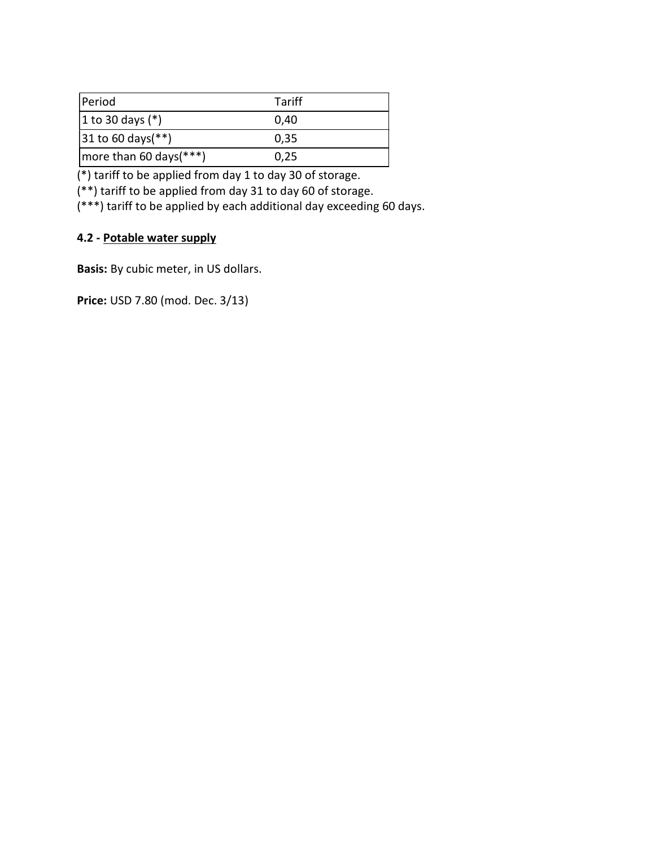| Period                                 | Tariff |  |
|----------------------------------------|--------|--|
| 1 to 30 days $(*)$                     | 0.40   |  |
| $ 31 \text{ to } 60 \text{ days}$ (**) | 0.35   |  |
| more than 60 days $(***)$              | 0.25   |  |

(\*) tariff to be applied from day 1 to day 30 of storage.

(\*\*) tariff to be applied from day 31 to day 60 of storage.

(\*\*\*) tariff to be applied by each additional day exceeding 60 days.

# 4.2 - Potable water supply

Basis: By cubic meter, in US dollars.

Price: USD 7.80 (mod. Dec. 3/13)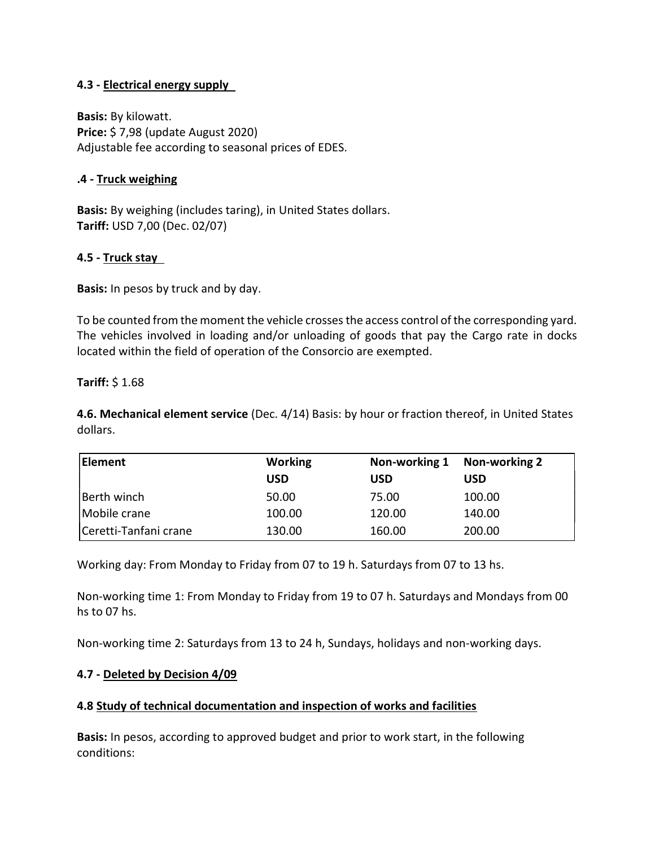### 4.3 - Electrical energy supply

Basis: By kilowatt. Price: \$ 7,98 (update August 2020) Adjustable fee according to seasonal prices of EDES.

### .4 - Truck weighing

Basis: By weighing (includes taring), in United States dollars. Tariff: USD 7,00 (Dec. 02/07)

### 4.5 - Truck stay

Basis: In pesos by truck and by day.

To be counted from the moment the vehicle crosses the access control of the corresponding yard. The vehicles involved in loading and/or unloading of goods that pay the Cargo rate in docks located within the field of operation of the Consorcio are exempted.

### Tariff: \$ 1.68

4.6. Mechanical element service (Dec. 4/14) Basis: by hour or fraction thereof, in United States dollars.

| Element               | <b>Working</b> | Non-working 1 | Non-working 2 |
|-----------------------|----------------|---------------|---------------|
|                       | USD            | USD           | USD           |
| Berth winch           | 50.00          | 75.00         | 100.00        |
| Mobile crane          | 100.00         | 120.00        | 140.00        |
| Ceretti-Tanfani crane | 130.00         | 160.00        | 200.00        |

Working day: From Monday to Friday from 07 to 19 h. Saturdays from 07 to 13 hs.

Non-working time 1: From Monday to Friday from 19 to 07 h. Saturdays and Mondays from 00 hs to 07 hs.

Non-working time 2: Saturdays from 13 to 24 h, Sundays, holidays and non-working days.

### 4.7 - Deleted by Decision 4/09

## 4.8 Study of technical documentation and inspection of works and facilities

Basis: In pesos, according to approved budget and prior to work start, in the following conditions: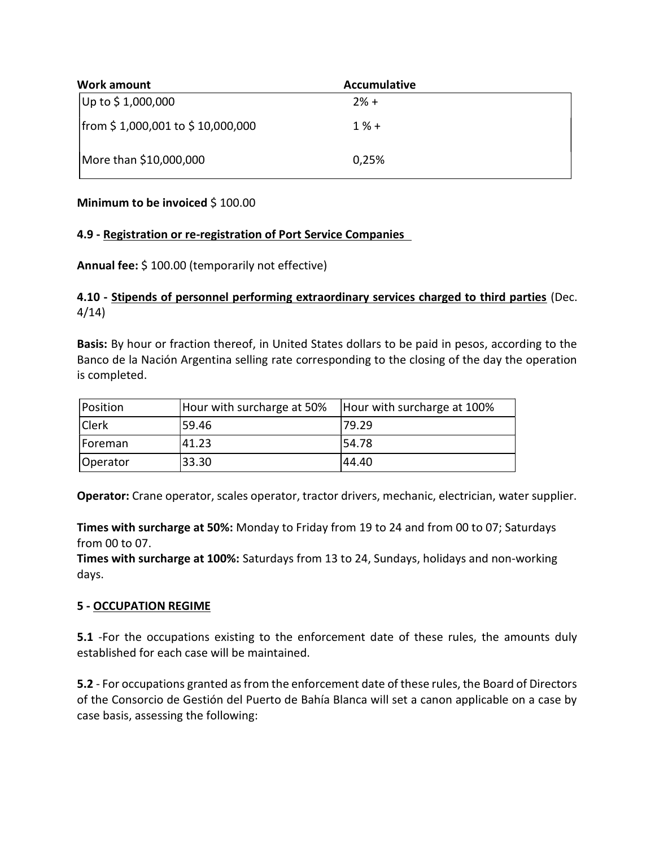| Work amount                      | <b>Accumulative</b> |  |
|----------------------------------|---------------------|--|
| Up to \$1,000,000                | $2% +$              |  |
| from \$1,000,001 to \$10,000,000 | $1 \% +$            |  |
| More than \$10,000,000           | 0,25%               |  |

### Minimum to be invoiced \$100.00

### 4.9 - Registration or re-registration of Port Service Companies

Annual fee: \$ 100.00 (temporarily not effective)

## 4.10 - Stipends of personnel performing extraordinary services charged to third parties (Dec. 4/14)

Basis: By hour or fraction thereof, in United States dollars to be paid in pesos, according to the Banco de la Nación Argentina selling rate corresponding to the closing of the day the operation is completed.

| Position     | Hour with surcharge at 50% | Hour with surcharge at 100% |
|--------------|----------------------------|-----------------------------|
| <b>Clerk</b> | 59.46                      | 179.29                      |
| Foreman      | 41.23                      | 154.78                      |
| Operator     | 33.30                      | 44.40                       |

Operator: Crane operator, scales operator, tractor drivers, mechanic, electrician, water supplier.

Times with surcharge at 50%: Monday to Friday from 19 to 24 and from 00 to 07; Saturdays from 00 to 07.

Times with surcharge at 100%: Saturdays from 13 to 24, Sundays, holidays and non-working days.

## 5 - OCCUPATION REGIME

5.1 -For the occupations existing to the enforcement date of these rules, the amounts duly established for each case will be maintained.

5.2 - For occupations granted as from the enforcement date of these rules, the Board of Directors of the Consorcio de Gestión del Puerto de Bahía Blanca will set a canon applicable on a case by case basis, assessing the following: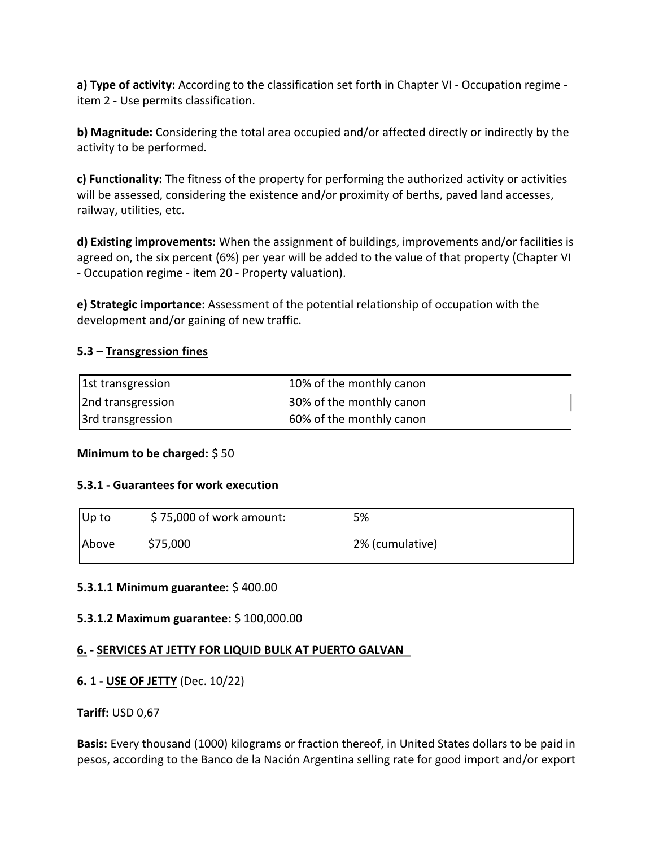a) Type of activity: According to the classification set forth in Chapter VI - Occupation regime item 2 - Use permits classification.

b) Magnitude: Considering the total area occupied and/or affected directly or indirectly by the activity to be performed.

c) Functionality: The fitness of the property for performing the authorized activity or activities will be assessed, considering the existence and/or proximity of berths, paved land accesses, railway, utilities, etc.

d) Existing improvements: When the assignment of buildings, improvements and/or facilities is agreed on, the six percent (6%) per year will be added to the value of that property (Chapter VI - Occupation regime - item 20 - Property valuation).

e) Strategic importance: Assessment of the potential relationship of occupation with the development and/or gaining of new traffic.

### 5.3 – Transgression fines

| 1st transgression | 10% of the monthly canon |
|-------------------|--------------------------|
| 2nd transgression | 30% of the monthly canon |
| 3rd transgression | 60% of the monthly canon |

### Minimum to be charged: \$ 50

### 5.3.1 - Guarantees for work execution

| $ Up$ to | $$75,000$ of work amount: | 5%              |
|----------|---------------------------|-----------------|
| Above    | \$75,000                  | 2% (cumulative) |

### 5.3.1.1 Minimum guarantee: \$ 400.00

5.3.1.2 Maximum guarantee: \$ 100,000.00

## 6. - SERVICES AT JETTY FOR LIQUID BULK AT PUERTO GALVAN

## 6. 1 - USE OF JETTY (Dec. 10/22)

Tariff: USD 0,67

Basis: Every thousand (1000) kilograms or fraction thereof, in United States dollars to be paid in pesos, according to the Banco de la Nación Argentina selling rate for good import and/or export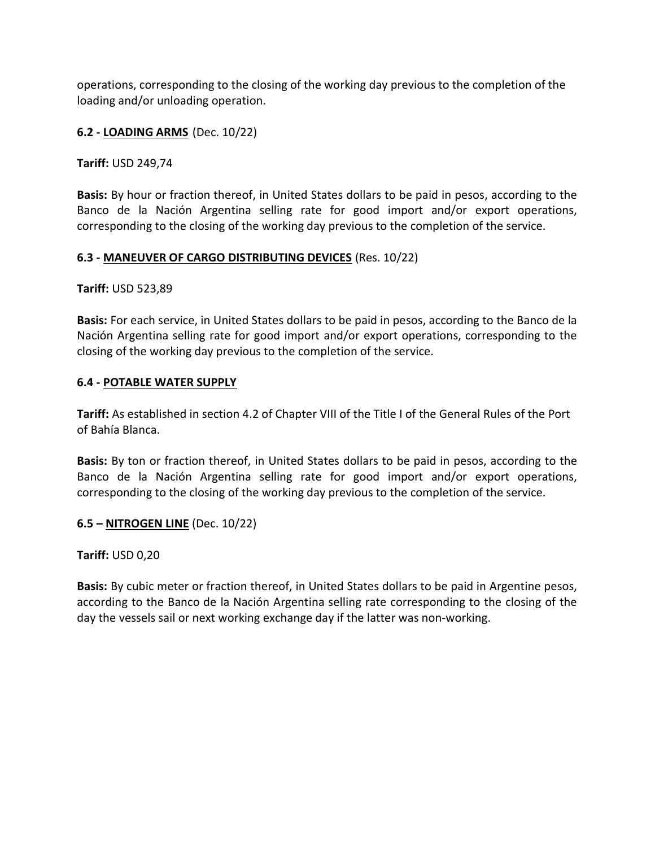operations, corresponding to the closing of the working day previous to the completion of the loading and/or unloading operation.

## 6.2 - LOADING ARMS (Dec. 10/22)

Tariff: USD 249,74

Basis: By hour or fraction thereof, in United States dollars to be paid in pesos, according to the Banco de la Nación Argentina selling rate for good import and/or export operations, corresponding to the closing of the working day previous to the completion of the service.

### 6.3 - MANEUVER OF CARGO DISTRIBUTING DEVICES (Res. 10/22)

Tariff: USD 523,89

Basis: For each service, in United States dollars to be paid in pesos, according to the Banco de la Nación Argentina selling rate for good import and/or export operations, corresponding to the closing of the working day previous to the completion of the service.

### 6.4 - POTABLE WATER SUPPLY

Tariff: As established in section 4.2 of Chapter VIII of the Title I of the General Rules of the Port of Bahía Blanca.

Basis: By ton or fraction thereof, in United States dollars to be paid in pesos, according to the Banco de la Nación Argentina selling rate for good import and/or export operations, corresponding to the closing of the working day previous to the completion of the service.

### 6.5 – NITROGEN LINE (Dec. 10/22)

Tariff: USD 0,20

Basis: By cubic meter or fraction thereof, in United States dollars to be paid in Argentine pesos, according to the Banco de la Nación Argentina selling rate corresponding to the closing of the day the vessels sail or next working exchange day if the latter was non-working.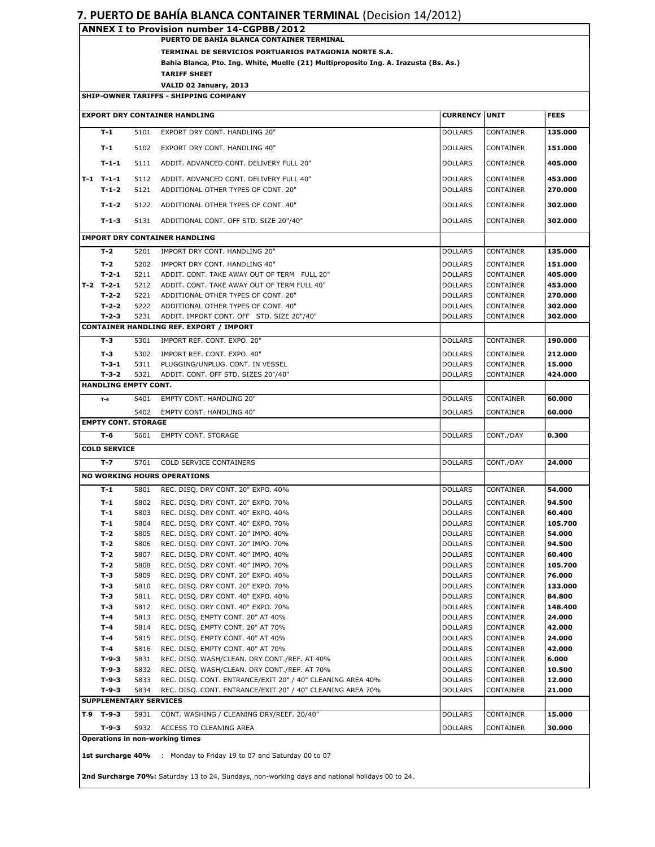#### 7. PUERTO DE BAHÍA BLANCA CONTAINER TERMINAL (Decision 14/2012)

| ANNEX I to Provision number 14-CGPBB/2012 |                                                                                      |  |  |  |
|-------------------------------------------|--------------------------------------------------------------------------------------|--|--|--|
|                                           | PUERTO DE BAHÍA BLANCA CONTAINER TERMINAL                                            |  |  |  |
|                                           | TERMINAL DE SERVICIOS PORTUARIOS PATAGONIA NORTE S.A.                                |  |  |  |
|                                           | Bahia Blanca, Pto. Ing. White, Muelle (21) Multiproposito Ing. A. Irazusta (Bs. As.) |  |  |  |
|                                           | <b>TARIFF SHEET</b>                                                                  |  |  |  |
|                                           | VALID 02 January, 2013                                                               |  |  |  |
| SHIP-OWNER TARIFFS - SHIPPING COMPANY     |                                                                                      |  |  |  |

| <b>EXPORT DRY CONTAINER HANDLING</b><br><b>CURRENCY UNIT</b><br><b>FEES</b>                                  |                                      |                                             |                                                                                                 |                                  |                        |                    |  |  |
|--------------------------------------------------------------------------------------------------------------|--------------------------------------|---------------------------------------------|-------------------------------------------------------------------------------------------------|----------------------------------|------------------------|--------------------|--|--|
|                                                                                                              | $T-1$                                | 5101                                        | EXPORT DRY CONT. HANDLING 20"                                                                   | <b>DOLLARS</b>                   | <b>CONTAINER</b>       | 135.000            |  |  |
|                                                                                                              |                                      |                                             |                                                                                                 |                                  |                        |                    |  |  |
|                                                                                                              | $T-1$                                | 5102                                        | EXPORT DRY CONT. HANDLING 40"                                                                   | <b>DOLLARS</b>                   | CONTAINER              | 151.000            |  |  |
|                                                                                                              | $T-1-1$                              | 5111                                        | ADDIT. ADVANCED CONT. DELIVERY FULL 20"                                                         | <b>DOLLARS</b>                   | CONTAINER              | 405.000            |  |  |
|                                                                                                              | $T-1$ $T-1-1$                        | 5112                                        | ADDIT. ADVANCED CONT. DELIVERY FULL 40"                                                         | <b>DOLLARS</b>                   | CONTAINER              | 453.000            |  |  |
|                                                                                                              | $T-1-2$                              | 5121                                        | ADDITIONAL OTHER TYPES OF CONT. 20"                                                             | <b>DOLLARS</b>                   | CONTAINER              | 270.000            |  |  |
|                                                                                                              | $T-1-2$                              | 5122<br>ADDITIONAL OTHER TYPES OF CONT. 40" |                                                                                                 | <b>DOLLARS</b>                   | CONTAINER              | 302.000            |  |  |
|                                                                                                              | $T-1-3$                              | 5131                                        | ADDITIONAL CONT. OFF STD. SIZE 20"/40"                                                          | <b>DOLLARS</b>                   | 302.000<br>CONTAINER   |                    |  |  |
|                                                                                                              |                                      |                                             |                                                                                                 |                                  |                        |                    |  |  |
|                                                                                                              | <b>IMPORT DRY CONTAINER HANDLING</b> |                                             |                                                                                                 |                                  |                        |                    |  |  |
|                                                                                                              | $T-2$                                | 5201                                        | IMPORT DRY CONT. HANDLING 20"                                                                   | <b>DOLLARS</b>                   | CONTAINER              | 135.000            |  |  |
|                                                                                                              | T-2                                  | 5202                                        | IMPORT DRY CONT. HANDLING 40"                                                                   | <b>DOLLARS</b>                   | CONTAINER              | 151.000            |  |  |
|                                                                                                              | $T-2-1$                              | 5211                                        | ADDIT. CONT. TAKE AWAY OUT OF TERM FULL 20"                                                     | <b>DOLLARS</b>                   | CONTAINER              | 405.000            |  |  |
|                                                                                                              | $T-2$ $T-2-1$                        | 5212                                        | ADDIT. CONT. TAKE AWAY OUT OF TERM FULL 40"                                                     | <b>DOLLARS</b>                   | CONTAINER<br>CONTAINER | 453.000            |  |  |
|                                                                                                              | $T-2-2$<br>$T-2-2$                   | 5221<br>5222                                | ADDITIONAL OTHER TYPES OF CONT. 20"<br>ADDITIONAL OTHER TYPES OF CONT. 40"                      | <b>DOLLARS</b><br><b>DOLLARS</b> |                        | 270.000<br>302.000 |  |  |
|                                                                                                              | $T-2-3$                              | 5231                                        | ADDIT. IMPORT CONT. OFF STD. SIZE 20"/40"                                                       | <b>DOLLARS</b>                   | CONTAINER<br>CONTAINER | 302.000            |  |  |
|                                                                                                              |                                      |                                             | <b>CONTAINER HANDLING REF. EXPORT / IMPORT</b>                                                  |                                  |                        |                    |  |  |
|                                                                                                              | $T-3$                                | 5301                                        | IMPORT REF. CONT. EXPO. 20"                                                                     | <b>DOLLARS</b>                   | CONTAINER              | 190.000            |  |  |
|                                                                                                              | T-3                                  | 5302                                        | IMPORT REF. CONT. EXPO. 40"                                                                     | <b>DOLLARS</b>                   | CONTAINER              | 212.000            |  |  |
|                                                                                                              | $T-3-1$                              | 5311                                        | PLUGGING/UNPLUG. CONT. IN VESSEL                                                                | <b>DOLLARS</b>                   | <b>CONTAINER</b>       | 15.000             |  |  |
|                                                                                                              | $T-3-2$                              | 5321                                        | ADDIT. CONT. OFF STD. SIZES 20"/40"                                                             | <b>DOLLARS</b>                   | CONTAINER              | 424.000            |  |  |
|                                                                                                              | HANDLING EMPTY CONT.                 |                                             |                                                                                                 |                                  |                        |                    |  |  |
|                                                                                                              | $T-4$                                | 5401                                        | <b>EMPTY CONT. HANDLING 20"</b>                                                                 | <b>DOLLARS</b>                   | <b>CONTAINER</b>       | 60.000             |  |  |
|                                                                                                              |                                      | 5402                                        | EMPTY CONT. HANDLING 40"                                                                        | <b>DOLLARS</b>                   | <b>CONTAINER</b>       | 60.000             |  |  |
|                                                                                                              | <b>EMPTY CONT. STORAGE</b>           |                                             |                                                                                                 |                                  |                        |                    |  |  |
|                                                                                                              | T-6                                  | 5601                                        | <b>EMPTY CONT. STORAGE</b>                                                                      | <b>DOLLARS</b>                   | CONT./DAY              | 0.300              |  |  |
|                                                                                                              | <b>COLD SERVICE</b>                  |                                             |                                                                                                 |                                  |                        |                    |  |  |
|                                                                                                              | $T - 7$                              | 5701                                        | COLD SERVICE CONTAINERS                                                                         |                                  |                        | 24.000             |  |  |
|                                                                                                              |                                      |                                             |                                                                                                 | <b>DOLLARS</b>                   | CONT./DAY              |                    |  |  |
|                                                                                                              |                                      |                                             | <b>NO WORKING HOURS OPERATIONS</b>                                                              |                                  |                        |                    |  |  |
|                                                                                                              | $T-1$                                | 5801                                        | REC. DISQ. DRY CONT. 20" EXPO. 40%                                                              | <b>DOLLARS</b>                   | CONTAINER              | 54.000             |  |  |
|                                                                                                              | $T-1$                                | 5802                                        | REC. DISQ. DRY CONT. 20" EXPO. 70%                                                              | <b>DOLLARS</b>                   | CONTAINER              | 94.500             |  |  |
|                                                                                                              | T-1                                  | 5803                                        | REC. DISQ. DRY CONT. 40" EXPO. 40%                                                              | <b>DOLLARS</b>                   | CONTAINER              | 60.400             |  |  |
|                                                                                                              | $T-1$                                | 5804                                        | REC. DISQ. DRY CONT. 40" EXPO. 70%                                                              | <b>DOLLARS</b>                   | CONTAINER              | 105.700            |  |  |
|                                                                                                              | T-2<br>T-2                           | 5805                                        | REC. DISQ. DRY CONT. 20" IMPO. 40%                                                              | <b>DOLLARS</b><br><b>DOLLARS</b> | <b>CONTAINER</b>       | 54.000<br>94.500   |  |  |
|                                                                                                              | T-2                                  | 5806<br>5807                                | REC. DISQ. DRY CONT. 20" IMPO. 70%<br>REC. DISQ. DRY CONT. 40" IMPO. 40%                        | <b>DOLLARS</b>                   | CONTAINER<br>CONTAINER | 60.400             |  |  |
|                                                                                                              | $T-2$                                | 5808                                        | REC. DISO. DRY CONT. 40" IMPO. 70%                                                              | <b>DOLLARS</b>                   | <b>CONTAINER</b>       | 105.700            |  |  |
|                                                                                                              | T-3                                  | 5809                                        | REC. DISO. DRY CONT. 20" EXPO. 40%                                                              | <b>DOLLARS</b>                   | CONTAINER              | 76.000             |  |  |
|                                                                                                              | T-3                                  | 5810                                        | REC. DISQ. DRY CONT. 20" EXPO. 70%                                                              | <b>DOLLARS</b>                   | CONTAINER              | 133.000            |  |  |
|                                                                                                              | T-3                                  | 5811                                        | REC. DISQ. DRY CONT. 40" EXPO. 40%                                                              | <b>DOLLARS</b>                   | CONTAINER              | 84.800             |  |  |
|                                                                                                              | T-3                                  | 5812                                        | REC. DISQ. DRY CONT. 40" EXPO. 70%                                                              | <b>DOLLARS</b>                   | CONTAINER              | 148.400            |  |  |
|                                                                                                              | T-4                                  | 5813                                        | REC. DISQ. EMPTY CONT. 20" AT 40%                                                               | <b>DOLLARS</b>                   | CONTAINER              | 24.000             |  |  |
|                                                                                                              | $T-4$                                | 5814                                        | REC. DISQ. EMPTY CONT. 20" AT 70%                                                               | <b>DOLLARS</b>                   | CONTAINER              | 42.000             |  |  |
|                                                                                                              | $T-4$                                | 5815                                        | REC. DISQ. EMPTY CONT. 40" AT 40%                                                               | <b>DOLLARS</b>                   | CONTAINER              | 24.000             |  |  |
|                                                                                                              | T-4                                  | 5816                                        | REC. DISQ. EMPTY CONT. 40" AT 70%                                                               | <b>DOLLARS</b>                   | CONTAINER              | 42.000             |  |  |
|                                                                                                              | $T-9-3$                              | 5831                                        | REC. DISQ. WASH/CLEAN. DRY CONT./REF. AT 40%                                                    | <b>DOLLARS</b>                   | CONTAINER              | 6.000              |  |  |
|                                                                                                              | $T-9-3$                              | 5832                                        | REC. DISQ. WASH/CLEAN. DRY CONT./REF. AT 70%                                                    | <b>DOLLARS</b>                   | <b>CONTAINER</b>       | 10.500             |  |  |
|                                                                                                              | $T-9-3$                              | 5833                                        | REC. DISO. CONT. ENTRANCE/EXIT 20" / 40" CLEANING AREA 40%                                      | <b>DOLLARS</b>                   | CONTAINER              | 12.000             |  |  |
| $T-9-3$<br>REC. DISQ. CONT. ENTRANCE/EXIT 20" / 40" CLEANING AREA 70%<br><b>DOLLARS</b><br>5834<br>CONTAINER |                                      |                                             |                                                                                                 |                                  |                        |                    |  |  |
|                                                                                                              | <b>SUPPLEMENTARY SERVICES</b>        |                                             |                                                                                                 |                                  |                        |                    |  |  |
|                                                                                                              | $T-9$ T-9-3                          | 5931                                        | CONT. WASHING / CLEANING DRY/REEF. 20/40"                                                       | <b>DOLLARS</b>                   | CONTAINER              | 15.000             |  |  |
|                                                                                                              | T-9-3                                | 5932                                        | ACCESS TO CLEANING AREA                                                                         | <b>DOLLARS</b>                   | CONTAINER              | 30.000             |  |  |
| Operations in non-working times                                                                              |                                      |                                             |                                                                                                 |                                  |                        |                    |  |  |
|                                                                                                              | 1st surcharge 40%                    |                                             | : Monday to Friday 19 to 07 and Saturday 00 to 07                                               |                                  |                        |                    |  |  |
|                                                                                                              |                                      |                                             | 2nd Surcharge 70%: Saturday 13 to 24, Sundays, non-working days and national holidays 00 to 24. |                                  |                        |                    |  |  |